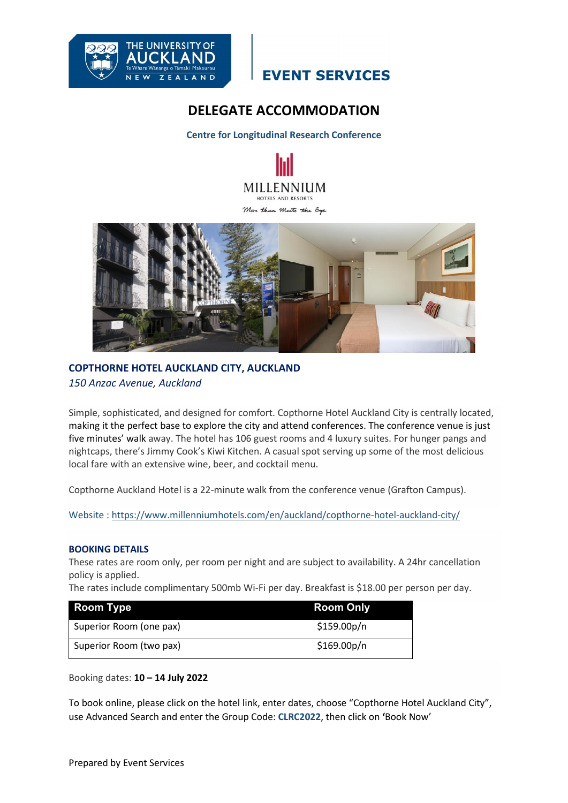

## **EVENT SERVICES**

## **DELEGATE ACCOMMODATION**

**Centre for Longitudinal Research Conference**





### **COPTHORNE HOTEL AUCKLAND CITY, AUCKLAND** *150 Anzac Avenue, Auckland*

Simple, sophisticated, and designed for comfort. Copthorne Hotel Auckland City is centrally located, making it the perfect base to explore the city and attend conferences. The conference venue is just five minutes' walk away. The hotel has 106 guest rooms and 4 luxury suites. For hunger pangs and nightcaps, there's Jimmy Cook's Kiwi Kitchen. A casual spot serving up some of the most delicious local fare with an extensive wine, beer, and cocktail menu.

Copthorne Auckland Hotel is a 22-minute walk from the conference venue (Grafton Campus).

Website : [https://www.millenniumhotels.com/en/auckland/copthorne-hotel-auckland-city/](https://protect-au.mimecast.com/s/fwiVCE8wg6HAXP37FwSyBU?domain=millenniumhotels.com/)

#### **BOOKING DETAILS**

These rates are room only, per room per night and are subject to availability. A 24hr cancellation policy is applied.

The rates include complimentary 500mb Wi-Fi per day. Breakfast is \$18.00 per person per day.

| <b>Room Type</b>        | <b>Room Only</b>         |
|-------------------------|--------------------------|
| Superior Room (one pax) | \$159.00p/n              |
| Superior Room (two pax) | \$169.00 <sub>p</sub> /n |

Booking dates: **10 – 14 July 2022**

To book online, please click on the hotel link, enter dates, choose "Copthorne Hotel Auckland City", use Advanced Search and enter the Group Code: **CLRC2022**, then click on **'**Book Now'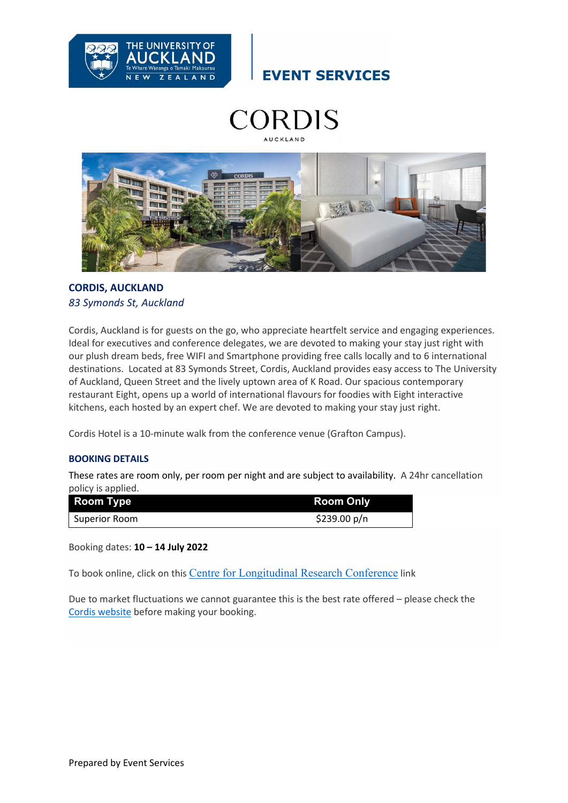

**EVENT SERVICES** 





### **CORDIS, AUCKLAND**  *83 Symonds St, Auckland*

Cordis, Auckland is for guests on the go, who appreciate heartfelt service and engaging experiences. Ideal for executives and conference delegates, we are devoted to making your stay just right with our plush dream beds, free WIFI and Smartphone providing free calls locally and to 6 international destinations. Located at 83 Symonds Street, Cordis, Auckland provides easy access to The University of Auckland, Queen Street and the lively uptown area of K Road. Our spacious contemporary restaurant Eight, opens up a world of international flavours for foodies with Eight interactive kitchens, each hosted by an expert chef. We are devoted to making your stay just right.

Cordis Hotel is a 10-minute walk from the conference venue (Grafton Campus).

### **BOOKING DETAILS**

These rates are room only, per room per night and are subject to availability. A 24hr cancellation policy is applied.

| <b>Room Type</b> | <b>Room Only</b> |
|------------------|------------------|
| l Superior Room  | \$239.00 $p/n$   |

Booking dates: **10 – 14 July 2022**

To book online, click on this [Centre for Longitudinal Research Conference](https://protect-au.mimecast.com/s/FoGSC0YKnXhENr09swuFU0?domain=be.synxis.com) link

Due to market fluctuations we cannot guarantee this is the best rate offered – please check the Cordis [website](http://www.cordishotels.com/en/auckland) before making your booking.